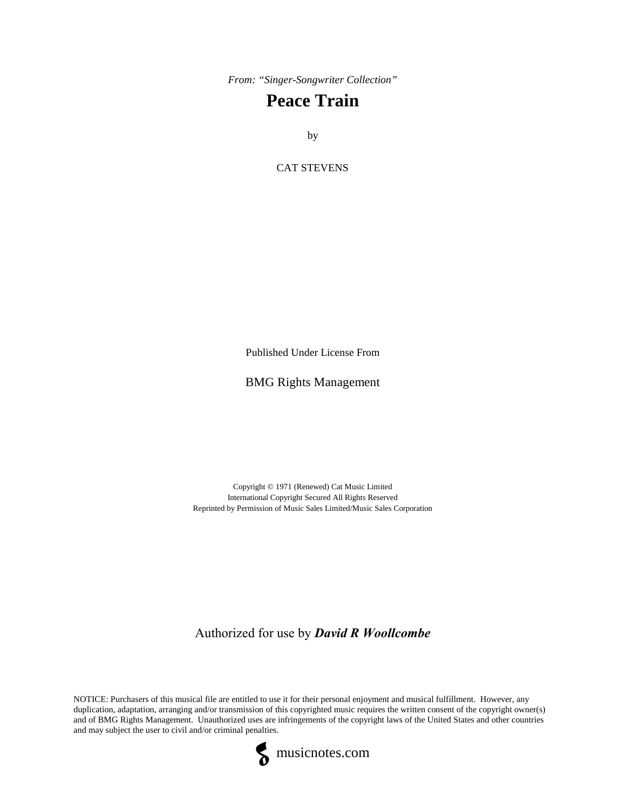*From: "Singer-Songwriter Collection"*

## **Peace Train**

by

CAT STEVENS

Published Under License From

## BMG Rights Management

Copyright © 1971 (Renewed) Cat Music Limited International Copyright Secured All Rights Reserved Reprinted by Permission of Music Sales Limited/Music Sales Corporation

## Authorized for use by *David R Woollcombe*

NOTICE: Purchasers of this musical file are entitled to use it for their personal enjoyment and musical fulfillment. However, any duplication, adaptation, arranging and/or transmission of this copyrighted music requires the written consent of the copyright owner(s) and of BMG Rights Management. Unauthorized uses are infringements of the copyright laws of the United States and other countries and may subject the user to civil and/or criminal penalties.

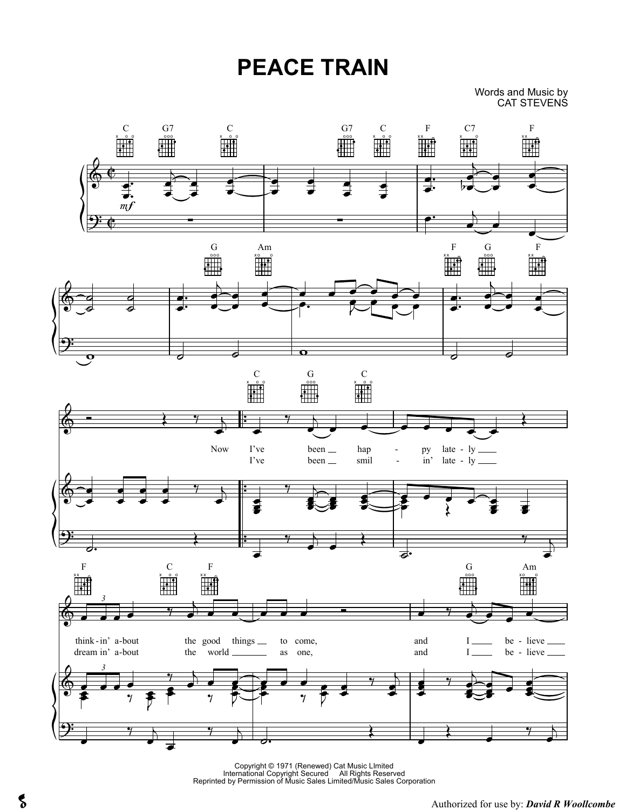## **PEACE TRAIN**

Words and Music by CAT STEVENS



Copyright © 1971 (Renewed) Cat Music LImited International Copyright Secured All Rights Reserved Reprinted by Permission of Music Sales Limited/Music Sales Corporation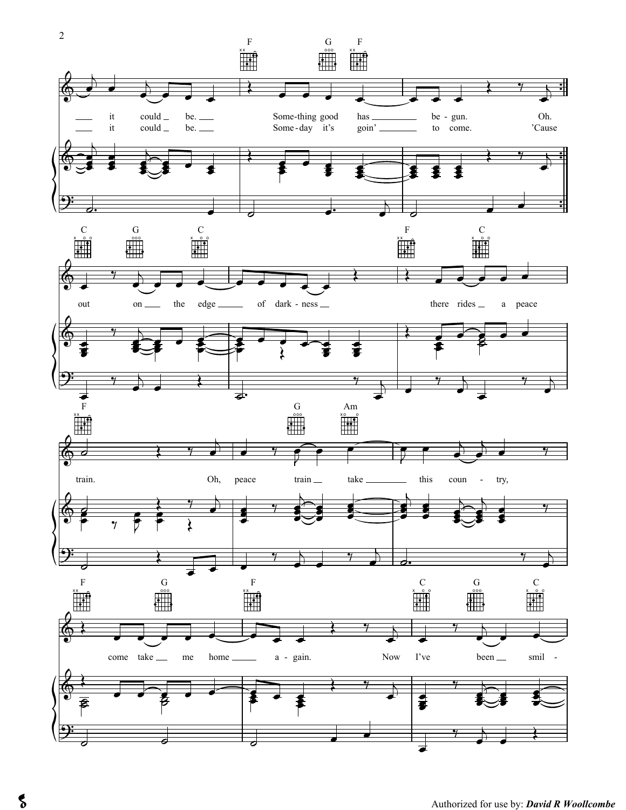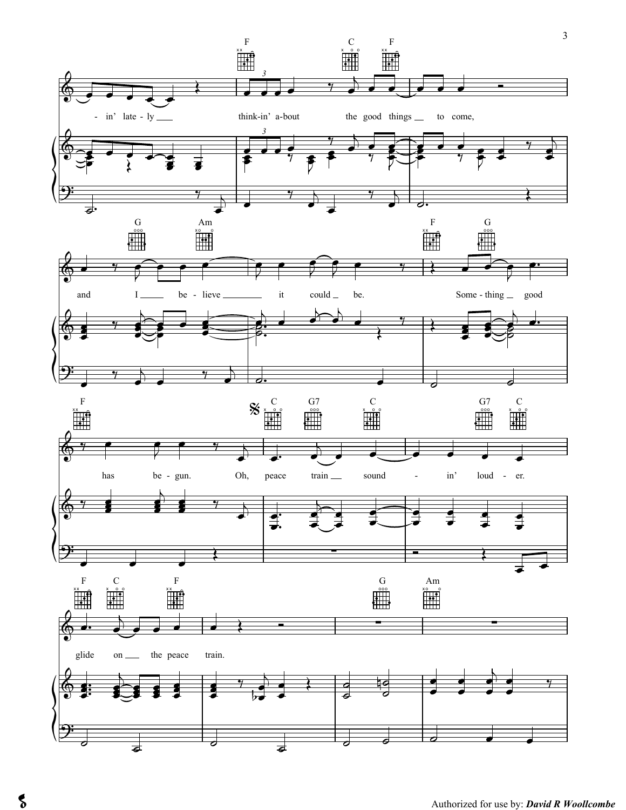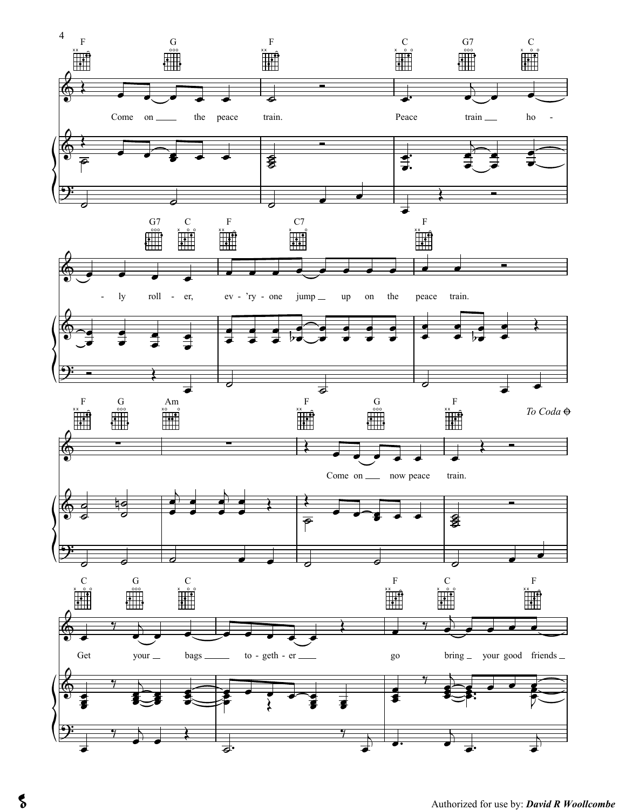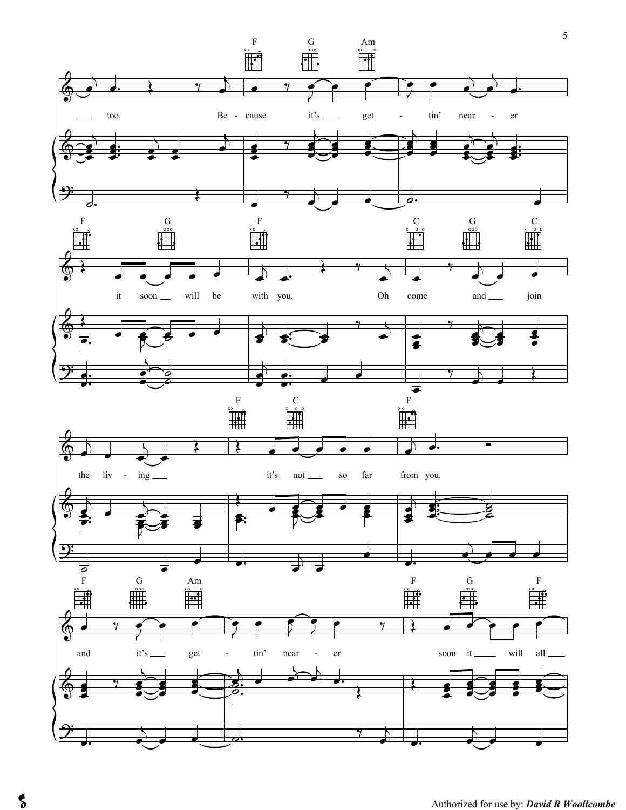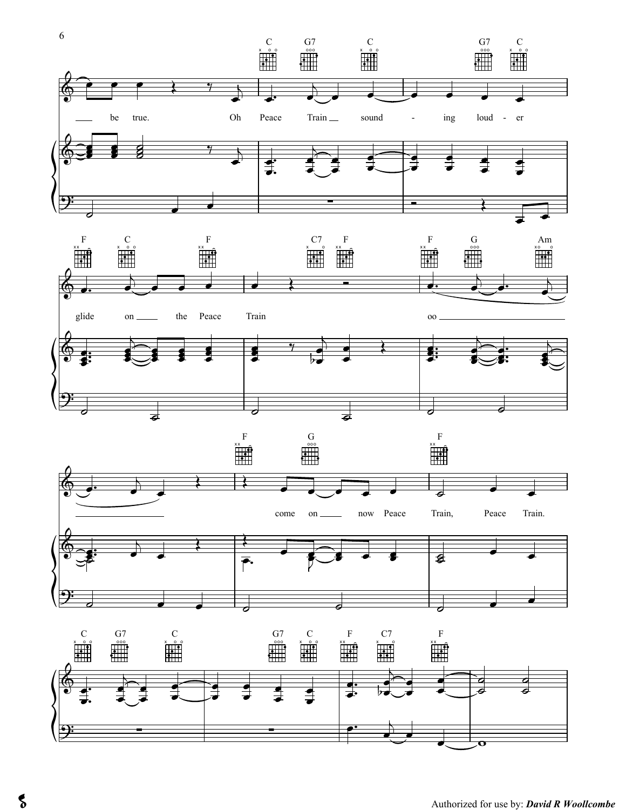



 $\overrightarrow{\boldsymbol{\sigma}}$ 

र्च



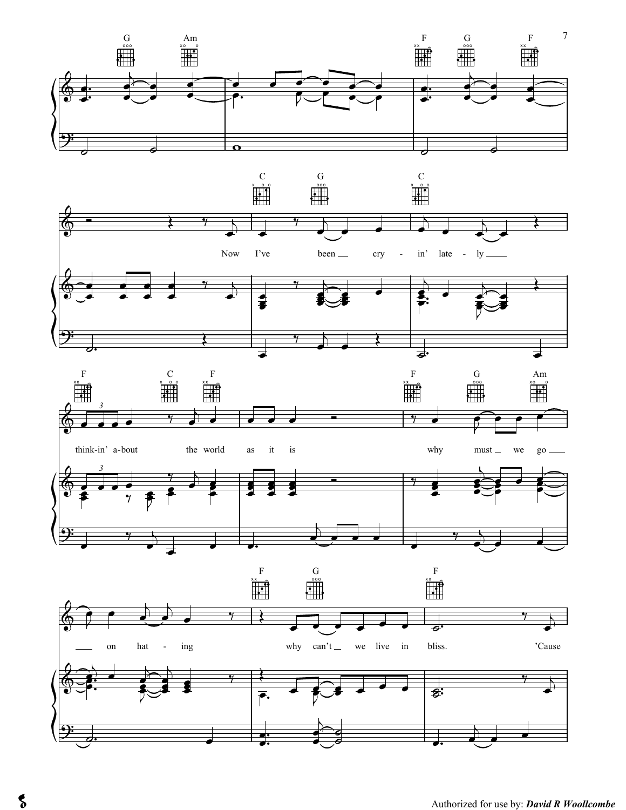









 $\mathbf{r}$